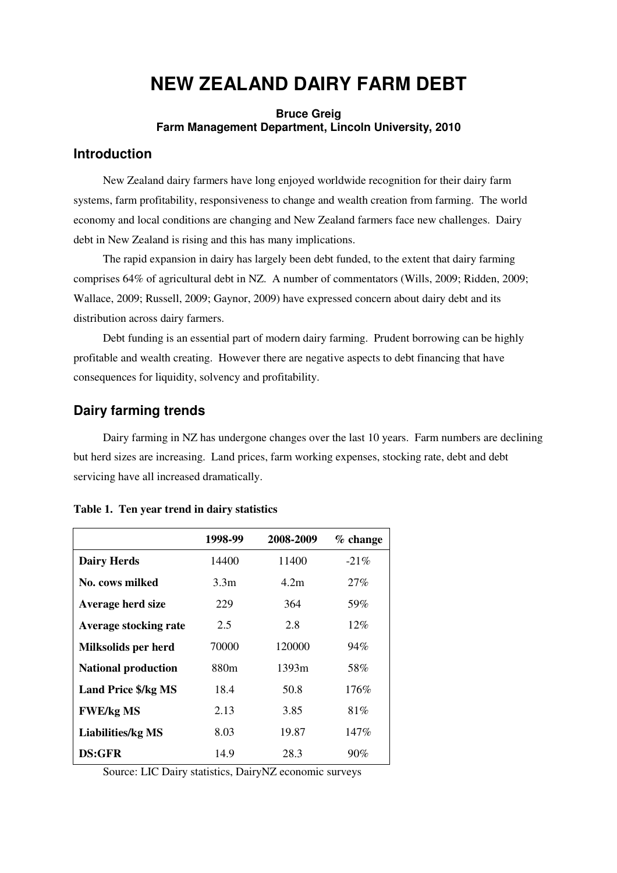# **NEW ZEALAND DAIRY FARM DEBT**

#### **Bruce Greig Farm Management Department, Lincoln University, 2010**

### **Introduction**

New Zealand dairy farmers have long enjoyed worldwide recognition for their dairy farm systems, farm profitability, responsiveness to change and wealth creation from farming. The world economy and local conditions are changing and New Zealand farmers face new challenges. Dairy debt in New Zealand is rising and this has many implications.

The rapid expansion in dairy has largely been debt funded, to the extent that dairy farming comprises 64% of agricultural debt in NZ. A number of commentators (Wills, 2009; Ridden, 2009; Wallace, 2009; Russell, 2009; Gaynor, 2009) have expressed concern about dairy debt and its distribution across dairy farmers.

Debt funding is an essential part of modern dairy farming. Prudent borrowing can be highly profitable and wealth creating. However there are negative aspects to debt financing that have consequences for liquidity, solvency and profitability.

#### **Dairy farming trends**

Dairy farming in NZ has undergone changes over the last 10 years. Farm numbers are declining but herd sizes are increasing. Land prices, farm working expenses, stocking rate, debt and debt servicing have all increased dramatically.

|                              | 1998-99          | 2008-2009 | $%$ change |
|------------------------------|------------------|-----------|------------|
| <b>Dairy Herds</b>           | 14400            | 11400     | $-21\%$    |
| No. cows milked              | 3.3 <sub>m</sub> | 4.2m      | 27%        |
| Average herd size            | 229              | 364       | 59%        |
| <b>Average stocking rate</b> | 2.5              | 2.8       | 12%        |
| Milksolids per herd          | 70000            | 120000    | 94%        |
| <b>National production</b>   | 880m             | 1393m     | 58%        |
| <b>Land Price \$/kg MS</b>   | 18.4             | 50.8      | 176%       |
| <b>FWE/kg MS</b>             | 2.13             | 3.85      | 81%        |
| <b>Liabilities/kg MS</b>     | 8.03             | 19.87     | 147%       |
| DS:GFR                       | 14.9             | 28.3      | 90%        |

#### **Table 1. Ten year trend in dairy statistics**

Source: LIC Dairy statistics, DairyNZ economic surveys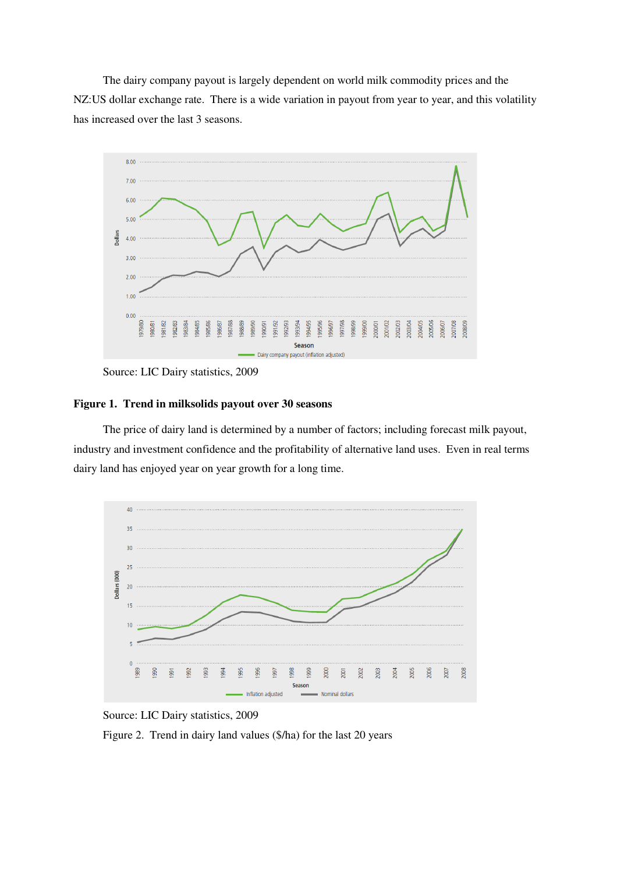The dairy company payout is largely dependent on world milk commodity prices and the NZ:US dollar exchange rate. There is a wide variation in payout from year to year, and this volatility has increased over the last 3 seasons.



Source: LIC Dairy statistics, 2009

#### **Figure 1. Trend in milksolids payout over 30 seasons**

The price of dairy land is determined by a number of factors; including forecast milk payout, industry and investment confidence and the profitability of alternative land uses. Even in real terms dairy land has enjoyed year on year growth for a long time.



Source: LIC Dairy statistics, 2009

Figure 2. Trend in dairy land values (\$/ha) for the last 20 years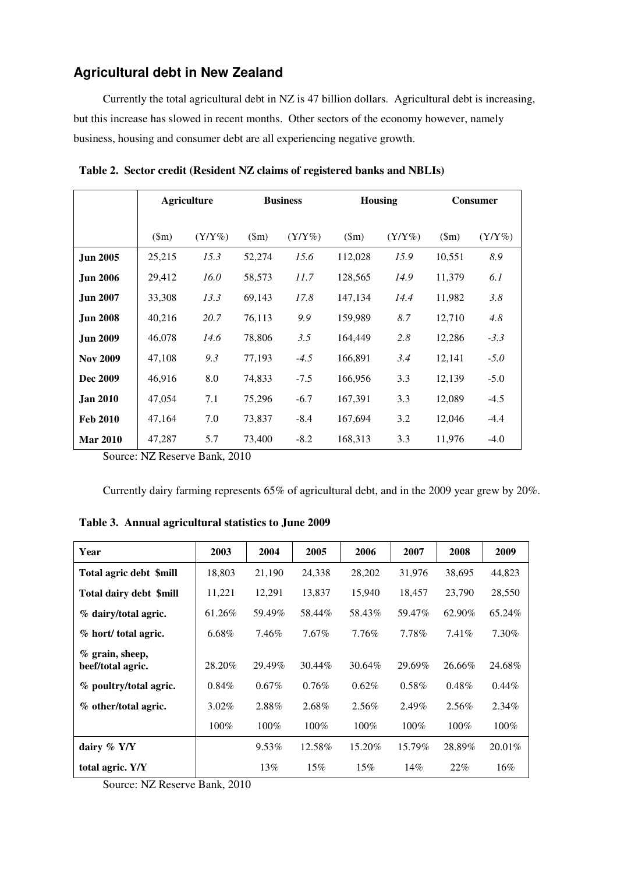### **Agricultural debt in New Zealand**

Currently the total agricultural debt in NZ is 47 billion dollars. Agricultural debt is increasing, but this increase has slowed in recent months. Other sectors of the economy however, namely business, housing and consumer debt are all experiencing negative growth.

|                 | <b>Agriculture</b> |           | <b>Business</b> |           | <b>Housing</b> |           | <b>Consumer</b> |           |
|-----------------|--------------------|-----------|-----------------|-----------|----------------|-----------|-----------------|-----------|
|                 | $(\text{5m})$      | $(Y/Y\%)$ | $(\text{Sm})$   | $(Y/Y\%)$ | $(\text{Sm})$  | $(Y/Y\%)$ | $(\text{3m})$   | $(Y/Y\%)$ |
| <b>Jun 2005</b> | 25,215             | 15.3      | 52,274          | 15.6      | 112,028        | 15.9      | 10,551          | 8.9       |
| <b>Jun 2006</b> | 29,412             | 16.0      | 58,573          | 11.7      | 128,565        | 14.9      | 11,379          | 6.1       |
| <b>Jun 2007</b> | 33,308             | 13.3      | 69,143          | 17.8      | 147,134        | 14.4      | 11,982          | 3.8       |
| <b>Jun 2008</b> | 40,216             | 20.7      | 76,113          | 9.9       | 159,989        | 8.7       | 12,710          | 4.8       |
| <b>Jun 2009</b> | 46,078             | 14.6      | 78,806          | 3.5       | 164,449        | 2.8       | 12,286          | $-3.3$    |
| <b>Nov 2009</b> | 47,108             | 9.3       | 77,193          | $-4.5$    | 166,891        | 3.4       | 12,141          | $-5.0$    |
| Dec 2009        | 46,916             | 8.0       | 74,833          | $-7.5$    | 166,956        | 3.3       | 12,139          | $-5.0$    |
| <b>Jan 2010</b> | 47,054             | 7.1       | 75,296          | $-6.7$    | 167,391        | 3.3       | 12,089          | $-4.5$    |
| <b>Feb 2010</b> | 47,164             | 7.0       | 73,837          | $-8.4$    | 167,694        | 3.2       | 12,046          | $-4.4$    |
| <b>Mar 2010</b> | 47,287             | 5.7       | 73,400          | $-8.2$    | 168,313        | 3.3       | 11,976          | $-4.0$    |

**Table 2. Sector credit (Resident NZ claims of registered banks and NBLIs)** 

Source: NZ Reserve Bank, 2010

Currently dairy farming represents 65% of agricultural debt, and in the 2009 year grew by 20%.

| Year                                    | 2003     | 2004     | 2005     | 2006     | 2007     | 2008     | 2009     |
|-----------------------------------------|----------|----------|----------|----------|----------|----------|----------|
| Total agric debt \$mill                 | 18,803   | 21,190   | 24,338   | 28,202   | 31,976   | 38,695   | 44,823   |
| Total dairy debt \$mill                 | 11,221   | 12,291   | 13.837   | 15,940   | 18,457   | 23,790   | 28,550   |
| % dairy/total agric.                    | 61.26%   | 59.49%   | 58.44%   | 58.43%   | 59.47%   | 62.90%   | 65.24%   |
| % hort/ total agric.                    | 6.68%    | 7.46%    | 7.67%    | 7.76%    | 7.78%    | $7.41\%$ | 7.30%    |
| $\%$ grain, sheep,<br>beef/total agric. | 28.20%   | 29.49%   | 30.44%   | 30.64%   | 29.69%   | 26.66%   | 24.68%   |
| % poultry/total agric.                  | 0.84%    | $0.67\%$ | $0.76\%$ | $0.62\%$ | $0.58\%$ | $0.48\%$ | $0.44\%$ |
| % other/total agric.                    | $3.02\%$ | 2.88%    | 2.68%    | 2.56%    | 2.49%    | 2.56%    | $2.34\%$ |
|                                         | 100%     | 100%     | $100\%$  | $100\%$  | $100\%$  | $100\%$  | 100%     |
| dairy $%$ Y/Y                           |          | 9.53%    | 12.58%   | 15.20%   | 15.79%   | 28.89%   | 20.01%   |
| total agric. Y/Y                        |          | 13%      | 15%      | 15%      | 14%      | 22%      | 16%      |

**Table 3. Annual agricultural statistics to June 2009** 

Source: NZ Reserve Bank, 2010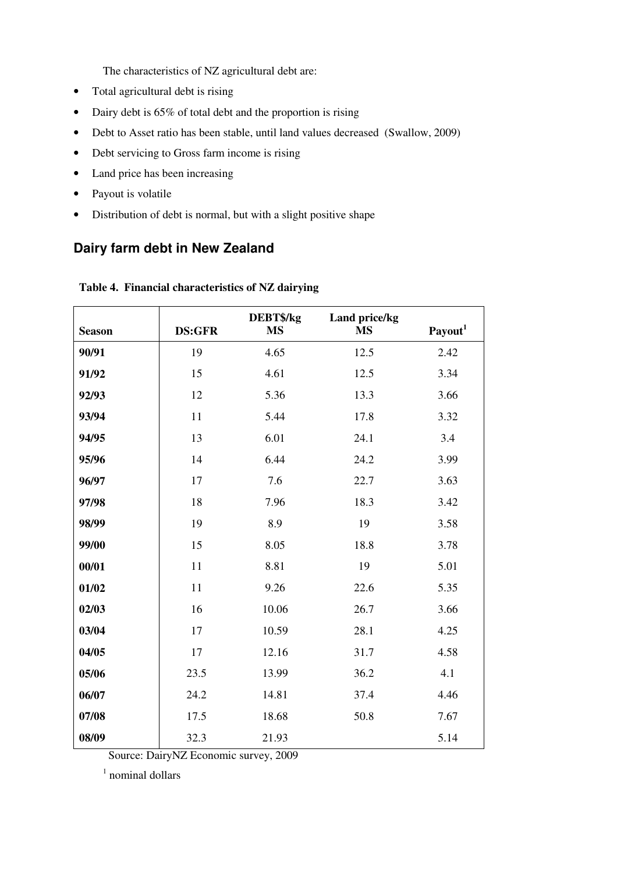The characteristics of NZ agricultural debt are:

- Total agricultural debt is rising
- Dairy debt is 65% of total debt and the proportion is rising
- Debt to Asset ratio has been stable, until land values decreased (Swallow, 2009)
- Debt servicing to Gross farm income is rising
- Land price has been increasing
- Payout is volatile
- Distribution of debt is normal, but with a slight positive shape

# **Dairy farm debt in New Zealand**

| <b>Season</b> | <b>DS:GFR</b> | DEBT\$/kg<br><b>MS</b> | Land price/kg<br><b>MS</b> | Payout <sup>1</sup> |
|---------------|---------------|------------------------|----------------------------|---------------------|
| 90/91         | 19            | 4.65                   | 12.5                       | 2.42                |
| 91/92         | 15            | 4.61                   | 12.5                       | 3.34                |
| 92/93         | 12            | 5.36                   | 13.3                       | 3.66                |
|               |               |                        |                            |                     |
| 93/94         | 11            | 5.44                   | 17.8                       | 3.32                |
| 94/95         | 13            | 6.01                   | 24.1                       | 3.4                 |
| 95/96         | 14            | 6.44                   | 24.2                       | 3.99                |
| 96/97         | 17            | 7.6                    | 22.7                       | 3.63                |
| 97/98         | 18            | 7.96                   | 18.3                       | 3.42                |
| 98/99         | 19            | 8.9                    | 19                         | 3.58                |
| 99/00         | 15            | 8.05                   | 18.8                       | 3.78                |
| 00/01         | 11            | 8.81                   | 19                         | 5.01                |
| 01/02         | 11            | 9.26                   | 22.6                       | 5.35                |
| 02/03         | 16            | 10.06                  | 26.7                       | 3.66                |
| 03/04         | 17            | 10.59                  | 28.1                       | 4.25                |
| 04/05         | 17            | 12.16                  | 31.7                       | 4.58                |
| 05/06         | 23.5          | 13.99                  | 36.2                       | 4.1                 |
| 06/07         | 24.2          | 14.81                  | 37.4                       | 4.46                |
| 07/08         | 17.5          | 18.68                  | 50.8                       | 7.67                |
| 08/09         | 32.3          | 21.93                  |                            | 5.14                |

**Table 4. Financial characteristics of NZ dairying** 

Source: DairyNZ Economic survey, 2009

<sup>1</sup> nominal dollars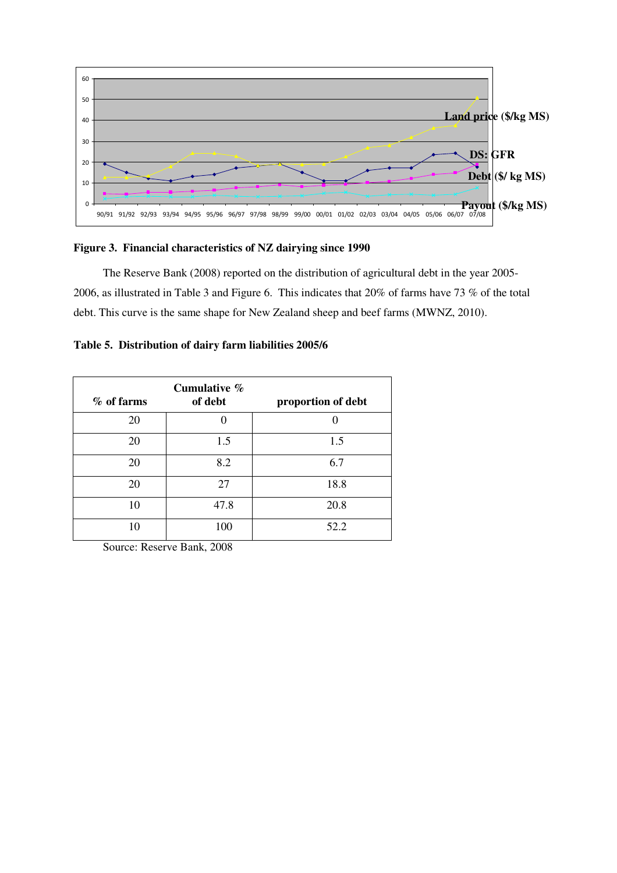

#### **Figure 3. Financial characteristics of NZ dairying since 1990**

The Reserve Bank (2008) reported on the distribution of agricultural debt in the year 2005- 2006, as illustrated in Table 3 and Figure 6. This indicates that 20% of farms have 73 % of the total debt. This curve is the same shape for New Zealand sheep and beef farms (MWNZ, 2010).

|  |  |  | Table 5. Distribution of dairy farm liabilities 2005/6 |  |
|--|--|--|--------------------------------------------------------|--|
|--|--|--|--------------------------------------------------------|--|

| % of farms | Cumulative $\%$<br>of debt | proportion of debt |
|------------|----------------------------|--------------------|
| 20         |                            |                    |
| 20         | 1.5                        | 1.5                |
| 20         | 8.2                        | 6.7                |
| 20         | 27                         | 18.8               |
| 10         | 47.8                       | 20.8               |
| 10         | 100                        | 52.2               |

Source: Reserve Bank, 2008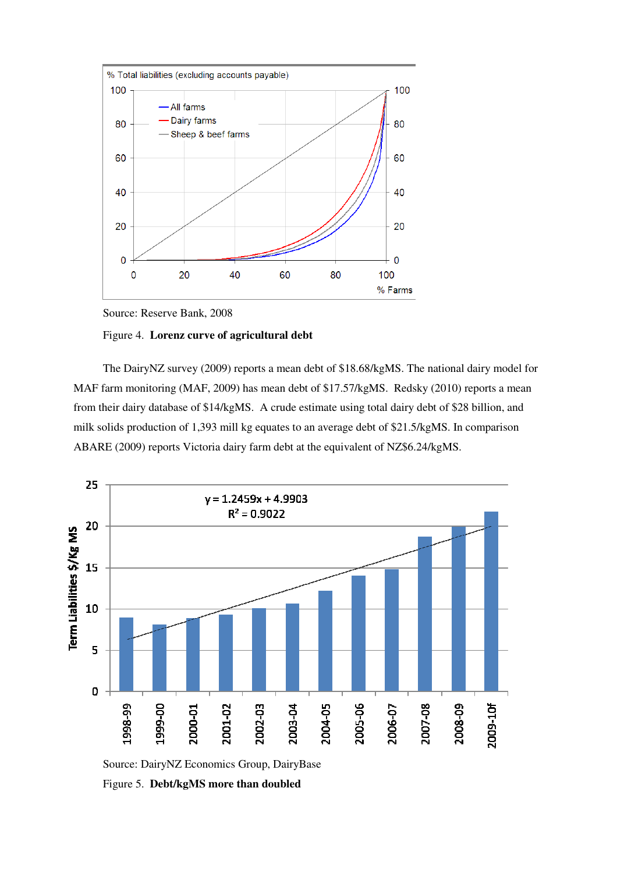

Source: Reserve Bank, 2008

#### Figure 4. **Lorenz curve of agricultural debt**

The DairyNZ survey (2009) reports a mean debt of \$18.68/kgMS. The national dairy model for MAF farm monitoring (MAF, 2009) has mean debt of \$17.57/kgMS. Redsky (2010) reports a mean from their dairy database of \$14/kgMS. A crude estimate using total dairy debt of \$28 billion, and milk solids production of 1,393 mill kg equates to an average debt of \$21.5/kgMS. In comparison ABARE (2009) reports Victoria dairy farm debt at the equivalent of NZ\$6.24/kgMS.



Figure 5. **Debt/kgMS more than doubled**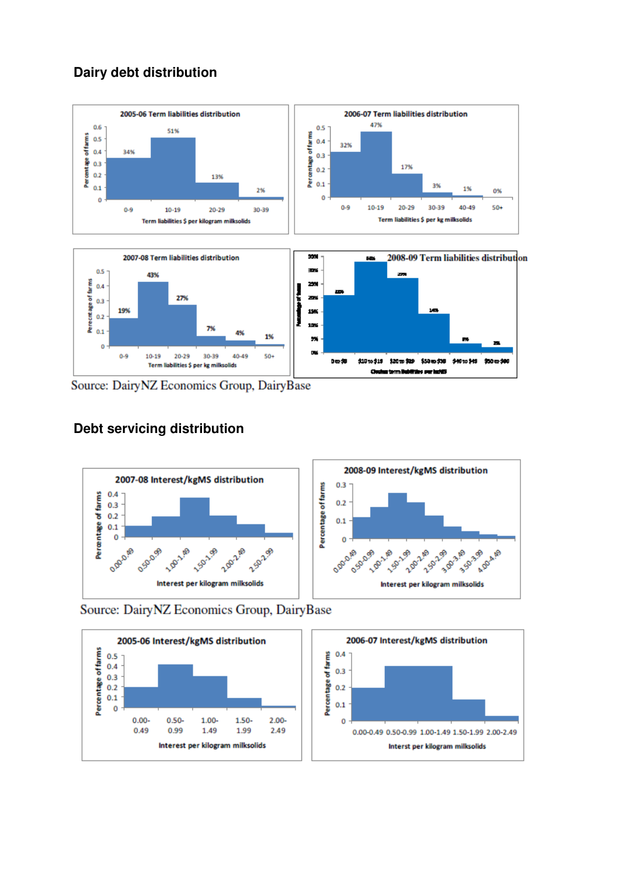# **Dairy debt distribution**



Source: DairyNZ Economics Group, DairyBase

# **Debt servicing distribution**



Source: DairyNZ Economics Group, DairyBase

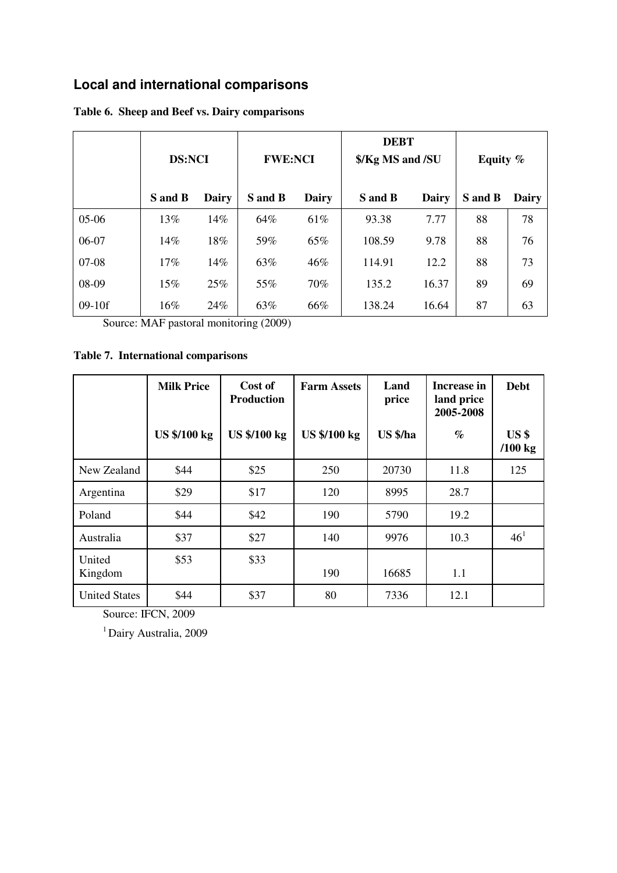# **Local and international comparisons**

|          | <b>DS:NCI</b> |              | <b>FWE:NCI</b> |              | <b>DEBT</b><br>\$/Kg MS and /SU |              | Equity % |       |
|----------|---------------|--------------|----------------|--------------|---------------------------------|--------------|----------|-------|
|          | S and B       | <b>Dairy</b> | S and B        | <b>Dairy</b> | S and B                         | <b>Dairy</b> | S and B  | Dairy |
| $05-06$  | 13%           | 14%          | 64%            | 61%          | 93.38                           | 7.77         | 88       | 78    |
| 06-07    | 14%           | 18%          | 59%            | 65%          | 108.59                          | 9.78         | 88       | 76    |
| $07-08$  | 17%           | 14%          | 63%            | 46%          | 114.91                          | 12.2         | 88       | 73    |
| 08-09    | 15%           | 25%          | 55%            | 70%          | 135.2                           | 16.37        | 89       | 69    |
| $09-10f$ | 16%           | 24%          | 63%            | 66%          | 138.24                          | 16.64        | 87       | 63    |

### **Table 6. Sheep and Beef vs. Dairy comparisons**

Source: MAF pastoral monitoring (2009)

### **Table 7. International comparisons**

|                      | <b>Milk Price</b>   | Cost of<br><b>Production</b> | <b>Farm Assets</b>  | Land<br>price | Increase in<br>land price<br>2005-2008 | <b>Debt</b>                  |
|----------------------|---------------------|------------------------------|---------------------|---------------|----------------------------------------|------------------------------|
|                      | <b>US \$/100 kg</b> | <b>US \$/100 kg</b>          | <b>US \$/100 kg</b> | US \$/ha      | $\%$                                   | US <sub>3</sub><br>$/100$ kg |
| New Zealand          | \$44                | \$25                         | 250                 | 20730         | 11.8                                   | 125                          |
| Argentina            | \$29                | \$17                         | 120                 | 8995          | 28.7                                   |                              |
| Poland               | \$44                | \$42                         | 190                 | 5790          | 19.2                                   |                              |
| Australia            | \$37                | \$27                         | 140                 | 9976          | 10.3                                   | 46 <sup>1</sup>              |
| United<br>Kingdom    | \$53                | \$33                         | 190                 | 16685         | 1.1                                    |                              |
| <b>United States</b> | \$44                | \$37                         | 80                  | 7336          | 12.1                                   |                              |

Source: IFCN, 2009

<sup>1</sup> Dairy Australia, 2009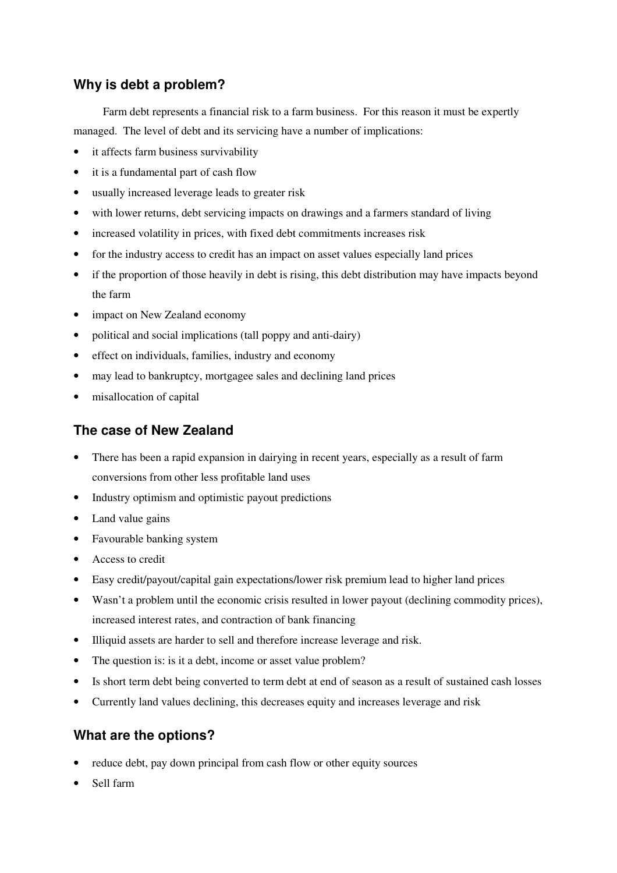### **Why is debt a problem?**

Farm debt represents a financial risk to a farm business. For this reason it must be expertly managed. The level of debt and its servicing have a number of implications:

- it affects farm business survivability
- it is a fundamental part of cash flow
- usually increased leverage leads to greater risk
- with lower returns, debt servicing impacts on drawings and a farmers standard of living
- increased volatility in prices, with fixed debt commitments increases risk
- for the industry access to credit has an impact on asset values especially land prices
- if the proportion of those heavily in debt is rising, this debt distribution may have impacts beyond the farm
- impact on New Zealand economy
- political and social implications (tall poppy and anti-dairy)
- effect on individuals, families, industry and economy
- may lead to bankruptcy, mortgagee sales and declining land prices
- misallocation of capital

### **The case of New Zealand**

- There has been a rapid expansion in dairying in recent years, especially as a result of farm conversions from other less profitable land uses
- Industry optimism and optimistic payout predictions
- Land value gains
- Favourable banking system
- Access to credit
- Easy credit/payout/capital gain expectations/lower risk premium lead to higher land prices
- Wasn't a problem until the economic crisis resulted in lower payout (declining commodity prices), increased interest rates, and contraction of bank financing
- Illiquid assets are harder to sell and therefore increase leverage and risk.
- The question is: is it a debt, income or asset value problem?
- Is short term debt being converted to term debt at end of season as a result of sustained cash losses
- Currently land values declining, this decreases equity and increases leverage and risk

### **What are the options?**

- reduce debt, pay down principal from cash flow or other equity sources
- Sell farm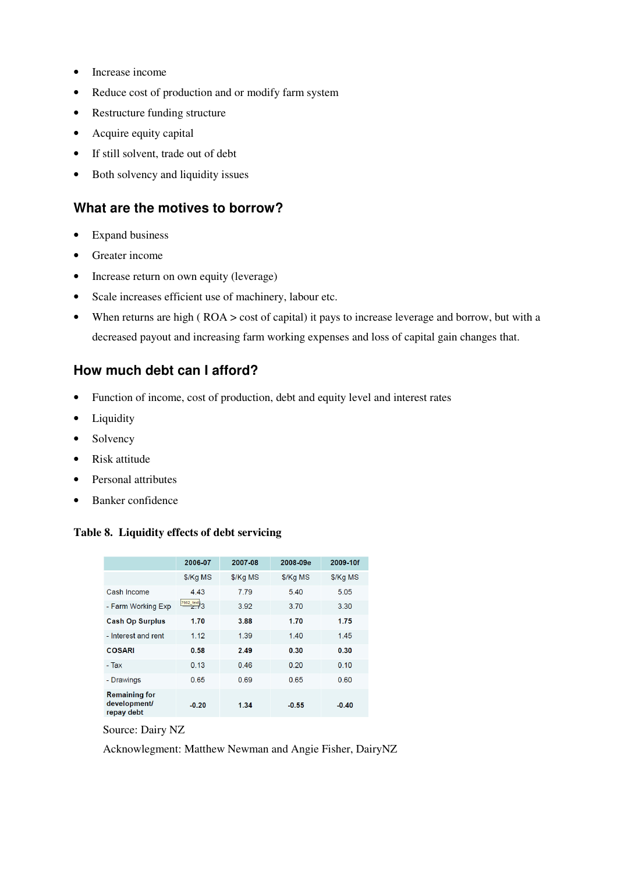- Increase income
- Reduce cost of production and or modify farm system
- Restructure funding structure
- Acquire equity capital
- If still solvent, trade out of debt
- Both solvency and liquidity issues

### **What are the motives to borrow?**

- Expand business
- Greater income
- Increase return on own equity (leverage)
- Scale increases efficient use of machinery, labour etc.
- When returns are high (ROA > cost of capital) it pays to increase leverage and borrow, but with a decreased payout and increasing farm working expenses and loss of capital gain changes that.

### **How much debt can I afford?**

- Function of income, cost of production, debt and equity level and interest rates
- Liquidity
- Solvency
- Risk attitude
- Personal attributes
- Banker confidence

#### **Table 8. Liquidity effects of debt servicing**

|                                                    | 2006-07                         | 2007-08  | 2008-09e | 2009-10f |
|----------------------------------------------------|---------------------------------|----------|----------|----------|
|                                                    | \$/Kg MS                        | \$/Kg MS | \$/Kg MS | \$/Kg MS |
| Cash Income                                        | 4.43                            | 7.79     | 5.40     | 5.05     |
| - Farm Working Exp                                 | $\frac{7662 \text{ text}}{2}$ 3 | 3.92     | 3.70     | 3.30     |
| <b>Cash Op Surplus</b>                             | 1.70                            | 3.88     | 1.70     | 1.75     |
| - Interest and rent                                | 1.12                            | 1.39     | 1.40     | 1.45     |
| <b>COSARI</b>                                      | 0.58                            | 2.49     | 0.30     | 0.30     |
| - Tax                                              | 0.13                            | 0.46     | 0.20     | 0.10     |
| - Drawings                                         | 0.65                            | 0.69     | 0.65     | 0.60     |
| <b>Remaining for</b><br>development/<br>repay debt | $-0.20$                         | 1.34     | $-0.55$  | $-0.40$  |

Source: Dairy NZ

Acknowlegment: Matthew Newman and Angie Fisher, DairyNZ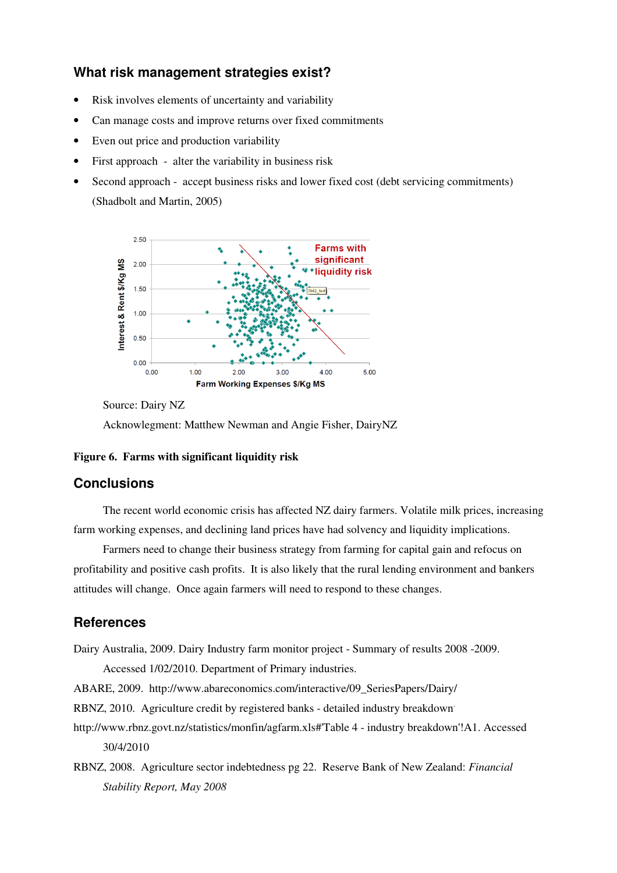### **What risk management strategies exist?**

- Risk involves elements of uncertainty and variability
- Can manage costs and improve returns over fixed commitments
- Even out price and production variability
- First approach alter the variability in business risk
- Second approach accept business risks and lower fixed cost (debt servicing commitments) (Shadbolt and Martin, 2005)



Source: Dairy NZ

Acknowlegment: Matthew Newman and Angie Fisher, DairyNZ

#### **Figure 6. Farms with significant liquidity risk**

#### **Conclusions**

The recent world economic crisis has affected NZ dairy farmers. Volatile milk prices, increasing farm working expenses, and declining land prices have had solvency and liquidity implications.

Farmers need to change their business strategy from farming for capital gain and refocus on profitability and positive cash profits. It is also likely that the rural lending environment and bankers attitudes will change. Once again farmers will need to respond to these changes.

#### **References**

Dairy Australia, 2009. Dairy Industry farm monitor project - Summary of results 2008 -2009.

Accessed 1/02/2010. Department of Primary industries.

ABARE, 2009. http://www.abareconomics.com/interactive/09\_SeriesPapers/Dairy/

RBNZ, 2010. Agriculture credit by registered banks - detailed industry breakdown.

- http://www.rbnz.govt.nz/statistics/monfin/agfarm.xls#'Table 4 industry breakdown'!A1. Accessed 30/4/2010
- RBNZ, 2008. Agriculture sector indebtedness pg 22. Reserve Bank of New Zealand: *Financial Stability Report, May 2008*